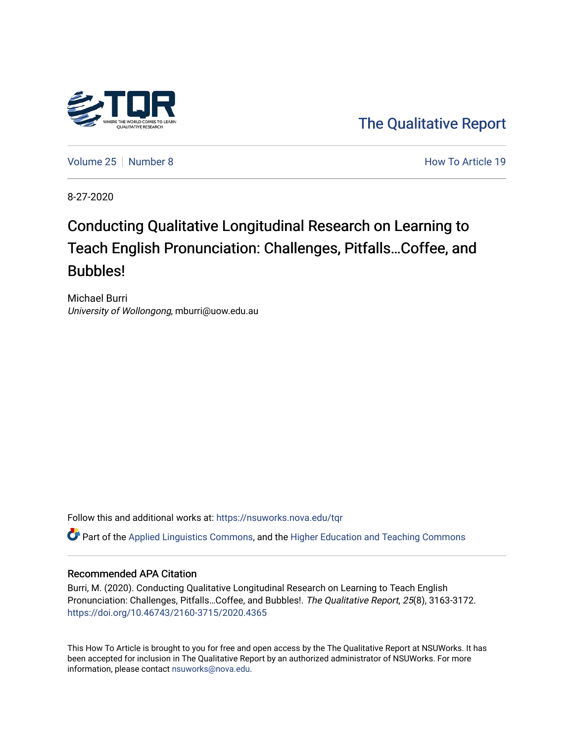

[The Qualitative Report](https://nsuworks.nova.edu/tqr) 

[Volume 25](https://nsuworks.nova.edu/tqr/vol25) [Number 8](https://nsuworks.nova.edu/tqr/vol25/iss8) **How To Article 19** How To Article 19

8-27-2020

# Conducting Qualitative Longitudinal Research on Learning to Teach English Pronunciation: Challenges, Pitfalls…Coffee, and Bubbles!

Michael Burri University of Wollongong, mburri@uow.edu.au

Follow this and additional works at: [https://nsuworks.nova.edu/tqr](https://nsuworks.nova.edu/tqr?utm_source=nsuworks.nova.edu%2Ftqr%2Fvol25%2Fiss8%2F19&utm_medium=PDF&utm_campaign=PDFCoverPages) 

Part of the [Applied Linguistics Commons,](http://network.bepress.com/hgg/discipline/373?utm_source=nsuworks.nova.edu%2Ftqr%2Fvol25%2Fiss8%2F19&utm_medium=PDF&utm_campaign=PDFCoverPages) and the [Higher Education and Teaching Commons](http://network.bepress.com/hgg/discipline/806?utm_source=nsuworks.nova.edu%2Ftqr%2Fvol25%2Fiss8%2F19&utm_medium=PDF&utm_campaign=PDFCoverPages) 

# Recommended APA Citation

Burri, M. (2020). Conducting Qualitative Longitudinal Research on Learning to Teach English Pronunciation: Challenges, Pitfalls…Coffee, and Bubbles!. The Qualitative Report, 25(8), 3163-3172. <https://doi.org/10.46743/2160-3715/2020.4365>

This How To Article is brought to you for free and open access by the The Qualitative Report at NSUWorks. It has been accepted for inclusion in The Qualitative Report by an authorized administrator of NSUWorks. For more information, please contact [nsuworks@nova.edu.](mailto:nsuworks@nova.edu)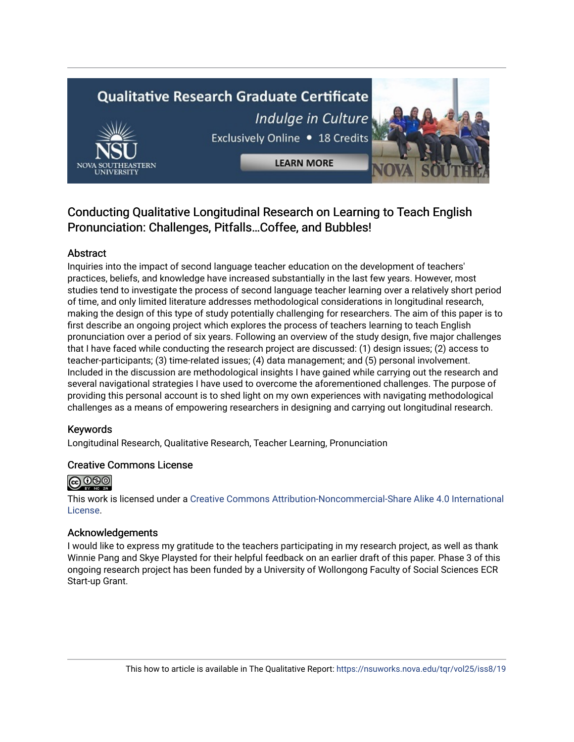# **Qualitative Research Graduate Certificate** Indulge in Culture Exclusively Online . 18 Credits



**LEARN MORE** 



# Conducting Qualitative Longitudinal Research on Learning to Teach English Pronunciation: Challenges, Pitfalls…Coffee, and Bubbles!

# Abstract

Inquiries into the impact of second language teacher education on the development of teachers' practices, beliefs, and knowledge have increased substantially in the last few years. However, most studies tend to investigate the process of second language teacher learning over a relatively short period of time, and only limited literature addresses methodological considerations in longitudinal research, making the design of this type of study potentially challenging for researchers. The aim of this paper is to first describe an ongoing project which explores the process of teachers learning to teach English pronunciation over a period of six years. Following an overview of the study design, five major challenges that I have faced while conducting the research project are discussed: (1) design issues; (2) access to teacher-participants; (3) time-related issues; (4) data management; and (5) personal involvement. Included in the discussion are methodological insights I have gained while carrying out the research and several navigational strategies I have used to overcome the aforementioned challenges. The purpose of providing this personal account is to shed light on my own experiences with navigating methodological challenges as a means of empowering researchers in designing and carrying out longitudinal research.

# Keywords

Longitudinal Research, Qualitative Research, Teacher Learning, Pronunciation

# Creative Commons License



This work is licensed under a [Creative Commons Attribution-Noncommercial-Share Alike 4.0 International](https://creativecommons.org/licenses/by-nc-sa/4.0/)  [License](https://creativecommons.org/licenses/by-nc-sa/4.0/).

# Acknowledgements

I would like to express my gratitude to the teachers participating in my research project, as well as thank Winnie Pang and Skye Playsted for their helpful feedback on an earlier draft of this paper. Phase 3 of this ongoing research project has been funded by a University of Wollongong Faculty of Social Sciences ECR Start-up Grant.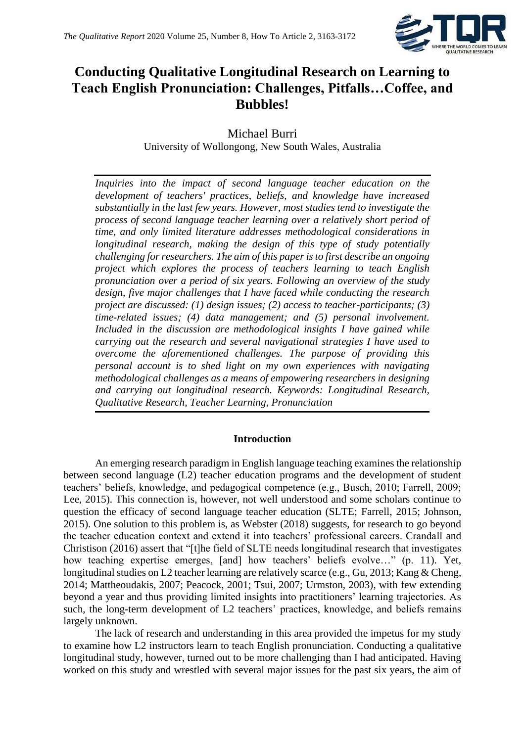

# **Conducting Qualitative Longitudinal Research on Learning to Teach English Pronunciation: Challenges, Pitfalls…Coffee, and Bubbles!**

Michael Burri University of Wollongong, New South Wales, Australia

*Inquiries into the impact of second language teacher education on the development of teachers' practices, beliefs, and knowledge have increased substantially in the last few years. However, most studies tend to investigate the process of second language teacher learning over a relatively short period of time, and only limited literature addresses methodological considerations in longitudinal research, making the design of this type of study potentially challenging for researchers. The aim of this paper is to first describe an ongoing project which explores the process of teachers learning to teach English pronunciation over a period of six years. Following an overview of the study design, five major challenges that I have faced while conducting the research project are discussed: (1) design issues; (2) access to teacher-participants; (3) time-related issues; (4) data management; and (5) personal involvement. Included in the discussion are methodological insights I have gained while carrying out the research and several navigational strategies I have used to overcome the aforementioned challenges. The purpose of providing this personal account is to shed light on my own experiences with navigating methodological challenges as a means of empowering researchers in designing and carrying out longitudinal research. Keywords: Longitudinal Research, Qualitative Research, Teacher Learning, Pronunciation*

# **Introduction**

An emerging research paradigm in English language teaching examines the relationship between second language (L2) teacher education programs and the development of student teachers' beliefs, knowledge, and pedagogical competence (e.g., Busch, 2010; Farrell, 2009; Lee, 2015). This connection is, however, not well understood and some scholars continue to question the efficacy of second language teacher education (SLTE; Farrell, 2015; Johnson, 2015). One solution to this problem is, as Webster (2018) suggests, for research to go beyond the teacher education context and extend it into teachers' professional careers. Crandall and Christison (2016) assert that "[t]he field of SLTE needs longitudinal research that investigates how teaching expertise emerges, [and] how teachers' beliefs evolve…" (p. 11). Yet, longitudinal studies on L2 teacher learning are relatively scarce (e.g., Gu, 2013; Kang & Cheng, 2014; Mattheoudakis, 2007; Peacock, 2001; Tsui, 2007; Urmston, 2003), with few extending beyond a year and thus providing limited insights into practitioners' learning trajectories. As such, the long-term development of L2 teachers' practices, knowledge, and beliefs remains largely unknown.

The lack of research and understanding in this area provided the impetus for my study to examine how L2 instructors learn to teach English pronunciation. Conducting a qualitative longitudinal study, however, turned out to be more challenging than I had anticipated. Having worked on this study and wrestled with several major issues for the past six years, the aim of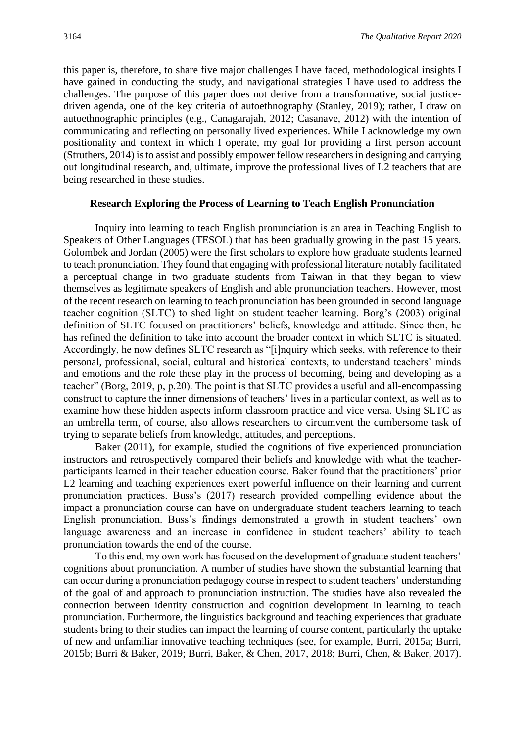this paper is, therefore, to share five major challenges I have faced, methodological insights I have gained in conducting the study, and navigational strategies I have used to address the challenges. The purpose of this paper does not derive from a transformative, social justicedriven agenda, one of the key criteria of autoethnography (Stanley, 2019); rather, I draw on autoethnographic principles (e.g., Canagarajah, 2012; Casanave, 2012) with the intention of communicating and reflecting on personally lived experiences. While I acknowledge my own positionality and context in which I operate, my goal for providing a first person account (Struthers, 2014) is to assist and possibly empower fellow researchers in designing and carrying out longitudinal research, and, ultimate, improve the professional lives of L2 teachers that are being researched in these studies.

#### **Research Exploring the Process of Learning to Teach English Pronunciation**

Inquiry into learning to teach English pronunciation is an area in Teaching English to Speakers of Other Languages (TESOL) that has been gradually growing in the past 15 years. Golombek and Jordan (2005) were the first scholars to explore how graduate students learned to teach pronunciation. They found that engaging with professional literature notably facilitated a perceptual change in two graduate students from Taiwan in that they began to view themselves as legitimate speakers of English and able pronunciation teachers. However, most of the recent research on learning to teach pronunciation has been grounded in second language teacher cognition (SLTC) to shed light on student teacher learning. Borg's (2003) original definition of SLTC focused on practitioners' beliefs, knowledge and attitude. Since then, he has refined the definition to take into account the broader context in which SLTC is situated. Accordingly, he now defines SLTC research as "[i]nquiry which seeks, with reference to their personal, professional, social, cultural and historical contexts, to understand teachers' minds and emotions and the role these play in the process of becoming, being and developing as a teacher" (Borg, 2019, p, p.20). The point is that SLTC provides a useful and all-encompassing construct to capture the inner dimensions of teachers' lives in a particular context, as well as to examine how these hidden aspects inform classroom practice and vice versa. Using SLTC as an umbrella term, of course, also allows researchers to circumvent the cumbersome task of trying to separate beliefs from knowledge, attitudes, and perceptions.

Baker (2011), for example, studied the cognitions of five experienced pronunciation instructors and retrospectively compared their beliefs and knowledge with what the teacherparticipants learned in their teacher education course. Baker found that the practitioners' prior L2 learning and teaching experiences exert powerful influence on their learning and current pronunciation practices. Buss's (2017) research provided compelling evidence about the impact a pronunciation course can have on undergraduate student teachers learning to teach English pronunciation. Buss's findings demonstrated a growth in student teachers' own language awareness and an increase in confidence in student teachers' ability to teach pronunciation towards the end of the course.

To this end, my own work has focused on the development of graduate student teachers' cognitions about pronunciation. A number of studies have shown the substantial learning that can occur during a pronunciation pedagogy course in respect to student teachers' understanding of the goal of and approach to pronunciation instruction. The studies have also revealed the connection between identity construction and cognition development in learning to teach pronunciation. Furthermore, the linguistics background and teaching experiences that graduate students bring to their studies can impact the learning of course content, particularly the uptake of new and unfamiliar innovative teaching techniques (see, for example, Burri, 2015a; Burri, 2015b; Burri & Baker, 2019; Burri, Baker, & Chen, 2017, 2018; Burri, Chen, & Baker, 2017).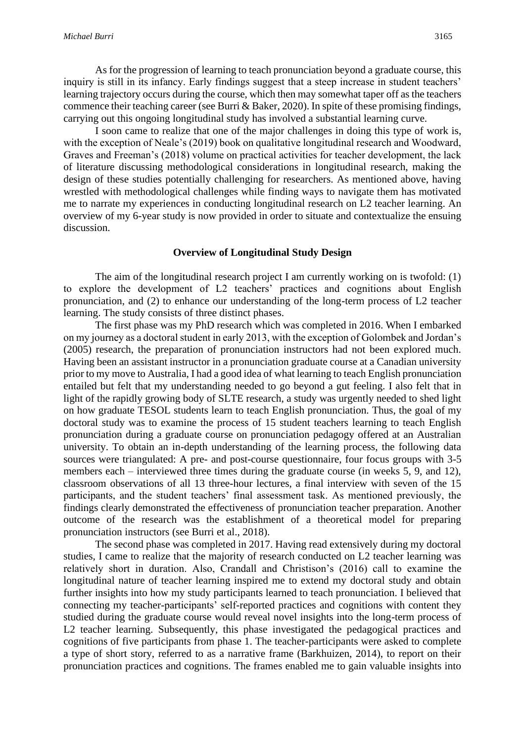As for the progression of learning to teach pronunciation beyond a graduate course, this inquiry is still in its infancy. Early findings suggest that a steep increase in student teachers' learning trajectory occurs during the course, which then may somewhat taper off as the teachers commence their teaching career (see Burri & Baker, 2020). In spite of these promising findings, carrying out this ongoing longitudinal study has involved a substantial learning curve.

I soon came to realize that one of the major challenges in doing this type of work is, with the exception of Neale's (2019) book on qualitative longitudinal research and Woodward, Graves and Freeman's (2018) volume on practical activities for teacher development, the lack of literature discussing methodological considerations in longitudinal research, making the design of these studies potentially challenging for researchers. As mentioned above, having wrestled with methodological challenges while finding ways to navigate them has motivated me to narrate my experiences in conducting longitudinal research on L2 teacher learning. An overview of my 6-year study is now provided in order to situate and contextualize the ensuing discussion.

#### **Overview of Longitudinal Study Design**

The aim of the longitudinal research project I am currently working on is twofold: (1) to explore the development of L2 teachers' practices and cognitions about English pronunciation, and (2) to enhance our understanding of the long-term process of L2 teacher learning. The study consists of three distinct phases.

The first phase was my PhD research which was completed in 2016. When I embarked on my journey as a doctoral student in early 2013, with the exception of Golombek and Jordan's (2005) research, the preparation of pronunciation instructors had not been explored much. Having been an assistant instructor in a pronunciation graduate course at a Canadian university prior to my move to Australia, I had a good idea of what learning to teach English pronunciation entailed but felt that my understanding needed to go beyond a gut feeling. I also felt that in light of the rapidly growing body of SLTE research, a study was urgently needed to shed light on how graduate TESOL students learn to teach English pronunciation. Thus, the goal of my doctoral study was to examine the process of 15 student teachers learning to teach English pronunciation during a graduate course on pronunciation pedagogy offered at an Australian university. To obtain an in-depth understanding of the learning process, the following data sources were triangulated: A pre- and post-course questionnaire, four focus groups with 3-5 members each – interviewed three times during the graduate course (in weeks 5, 9, and 12), classroom observations of all 13 three-hour lectures, a final interview with seven of the 15 participants, and the student teachers' final assessment task. As mentioned previously, the findings clearly demonstrated the effectiveness of pronunciation teacher preparation. Another outcome of the research was the establishment of a theoretical model for preparing pronunciation instructors (see Burri et al., 2018).

The second phase was completed in 2017. Having read extensively during my doctoral studies, I came to realize that the majority of research conducted on L2 teacher learning was relatively short in duration. Also, Crandall and Christison's (2016) call to examine the longitudinal nature of teacher learning inspired me to extend my doctoral study and obtain further insights into how my study participants learned to teach pronunciation. I believed that connecting my teacher-participants' self-reported practices and cognitions with content they studied during the graduate course would reveal novel insights into the long-term process of L2 teacher learning. Subsequently, this phase investigated the pedagogical practices and cognitions of five participants from phase 1. The teacher-participants were asked to complete a type of short story, referred to as a narrative frame (Barkhuizen, 2014), to report on their pronunciation practices and cognitions. The frames enabled me to gain valuable insights into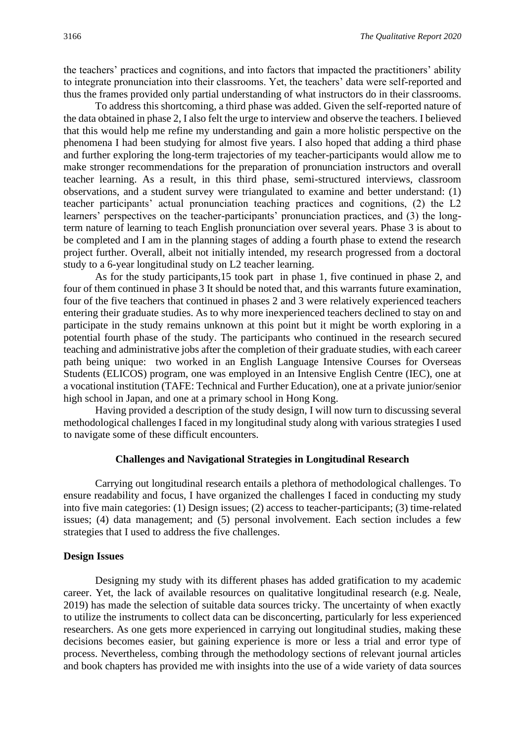the teachers' practices and cognitions, and into factors that impacted the practitioners' ability to integrate pronunciation into their classrooms. Yet, the teachers' data were self-reported and thus the frames provided only partial understanding of what instructors do in their classrooms.

To address this shortcoming, a third phase was added. Given the self-reported nature of the data obtained in phase 2, I also felt the urge to interview and observe the teachers. I believed that this would help me refine my understanding and gain a more holistic perspective on the phenomena I had been studying for almost five years. I also hoped that adding a third phase and further exploring the long-term trajectories of my teacher-participants would allow me to make stronger recommendations for the preparation of pronunciation instructors and overall teacher learning. As a result, in this third phase, semi-structured interviews, classroom observations, and a student survey were triangulated to examine and better understand: (1) teacher participants' actual pronunciation teaching practices and cognitions, (2) the L2 learners' perspectives on the teacher-participants' pronunciation practices, and (3) the longterm nature of learning to teach English pronunciation over several years. Phase 3 is about to be completed and I am in the planning stages of adding a fourth phase to extend the research project further. Overall, albeit not initially intended, my research progressed from a doctoral study to a 6-year longitudinal study on L2 teacher learning.

As for the study participants,15 took part in phase 1, five continued in phase 2, and four of them continued in phase 3 It should be noted that, and this warrants future examination, four of the five teachers that continued in phases 2 and 3 were relatively experienced teachers entering their graduate studies. As to why more inexperienced teachers declined to stay on and participate in the study remains unknown at this point but it might be worth exploring in a potential fourth phase of the study. The participants who continued in the research secured teaching and administrative jobs after the completion of their graduate studies, with each career path being unique: two worked in an English Language Intensive Courses for Overseas Students (ELICOS) program, one was employed in an Intensive English Centre (IEC), one at a vocational institution (TAFE: Technical and Further Education), one at a private junior/senior high school in Japan, and one at a primary school in Hong Kong.

Having provided a description of the study design, I will now turn to discussing several methodological challenges I faced in my longitudinal study along with various strategies I used to navigate some of these difficult encounters.

#### **Challenges and Navigational Strategies in Longitudinal Research**

Carrying out longitudinal research entails a plethora of methodological challenges. To ensure readability and focus, I have organized the challenges I faced in conducting my study into five main categories: (1) Design issues; (2) access to teacher-participants; (3) time-related issues; (4) data management; and (5) personal involvement. Each section includes a few strategies that I used to address the five challenges.

#### **Design Issues**

Designing my study with its different phases has added gratification to my academic career. Yet, the lack of available resources on qualitative longitudinal research (e.g. Neale, 2019) has made the selection of suitable data sources tricky. The uncertainty of when exactly to utilize the instruments to collect data can be disconcerting, particularly for less experienced researchers. As one gets more experienced in carrying out longitudinal studies, making these decisions becomes easier, but gaining experience is more or less a trial and error type of process. Nevertheless, combing through the methodology sections of relevant journal articles and book chapters has provided me with insights into the use of a wide variety of data sources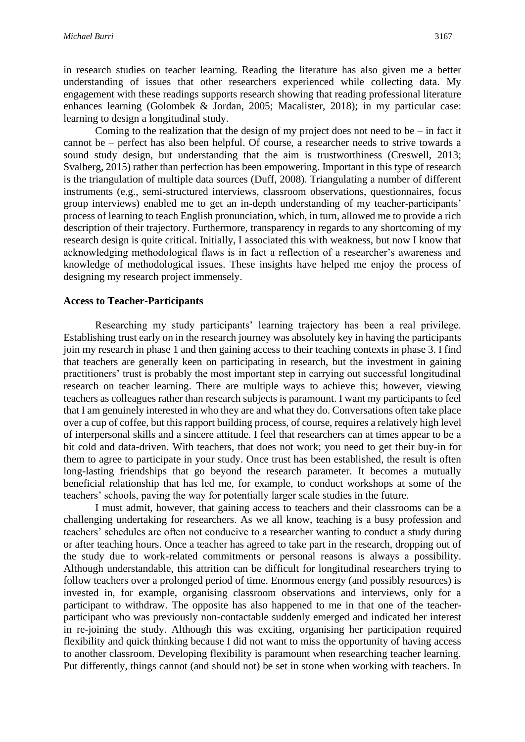in research studies on teacher learning. Reading the literature has also given me a better understanding of issues that other researchers experienced while collecting data. My engagement with these readings supports research showing that reading professional literature enhances learning (Golombek & Jordan, 2005; Macalister, 2018); in my particular case: learning to design a longitudinal study.

Coming to the realization that the design of my project does not need to be  $-$  in fact it cannot be – perfect has also been helpful. Of course, a researcher needs to strive towards a sound study design, but understanding that the aim is trustworthiness (Creswell, 2013; Svalberg, 2015) rather than perfection has been empowering. Important in this type of research is the triangulation of multiple data sources (Duff, 2008). Triangulating a number of different instruments (e.g., semi-structured interviews, classroom observations, questionnaires, focus group interviews) enabled me to get an in-depth understanding of my teacher-participants' process of learning to teach English pronunciation, which, in turn, allowed me to provide a rich description of their trajectory. Furthermore, transparency in regards to any shortcoming of my research design is quite critical. Initially, I associated this with weakness, but now I know that acknowledging methodological flaws is in fact a reflection of a researcher's awareness and knowledge of methodological issues. These insights have helped me enjoy the process of designing my research project immensely.

#### **Access to Teacher-Participants**

Researching my study participants' learning trajectory has been a real privilege. Establishing trust early on in the research journey was absolutely key in having the participants join my research in phase 1 and then gaining access to their teaching contexts in phase 3. I find that teachers are generally keen on participating in research, but the investment in gaining practitioners' trust is probably the most important step in carrying out successful longitudinal research on teacher learning. There are multiple ways to achieve this; however, viewing teachers as colleagues rather than research subjects is paramount. I want my participants to feel that I am genuinely interested in who they are and what they do. Conversations often take place over a cup of coffee, but this rapport building process, of course, requires a relatively high level of interpersonal skills and a sincere attitude. I feel that researchers can at times appear to be a bit cold and data-driven. With teachers, that does not work; you need to get their buy-in for them to agree to participate in your study. Once trust has been established, the result is often long-lasting friendships that go beyond the research parameter. It becomes a mutually beneficial relationship that has led me, for example, to conduct workshops at some of the teachers' schools, paving the way for potentially larger scale studies in the future.

I must admit, however, that gaining access to teachers and their classrooms can be a challenging undertaking for researchers. As we all know, teaching is a busy profession and teachers' schedules are often not conducive to a researcher wanting to conduct a study during or after teaching hours. Once a teacher has agreed to take part in the research, dropping out of the study due to work-related commitments or personal reasons is always a possibility. Although understandable, this attrition can be difficult for longitudinal researchers trying to follow teachers over a prolonged period of time. Enormous energy (and possibly resources) is invested in, for example, organising classroom observations and interviews, only for a participant to withdraw. The opposite has also happened to me in that one of the teacherparticipant who was previously non-contactable suddenly emerged and indicated her interest in re-joining the study. Although this was exciting, organising her participation required flexibility and quick thinking because I did not want to miss the opportunity of having access to another classroom. Developing flexibility is paramount when researching teacher learning. Put differently, things cannot (and should not) be set in stone when working with teachers. In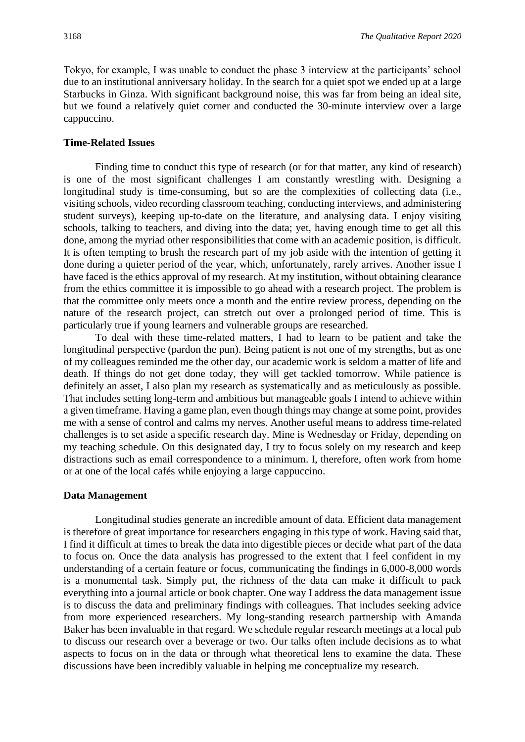Tokyo, for example, I was unable to conduct the phase 3 interview at the participants' school due to an institutional anniversary holiday. In the search for a quiet spot we ended up at a large Starbucks in Ginza. With significant background noise, this was far from being an ideal site, but we found a relatively quiet corner and conducted the 30-minute interview over a large cappuccino.

### **Time-Related Issues**

Finding time to conduct this type of research (or for that matter, any kind of research) is one of the most significant challenges I am constantly wrestling with. Designing a longitudinal study is time-consuming, but so are the complexities of collecting data (i.e., visiting schools, video recording classroom teaching, conducting interviews, and administering student surveys), keeping up-to-date on the literature, and analysing data. I enjoy visiting schools, talking to teachers, and diving into the data; yet, having enough time to get all this done, among the myriad other responsibilities that come with an academic position, is difficult. It is often tempting to brush the research part of my job aside with the intention of getting it done during a quieter period of the year, which, unfortunately, rarely arrives. Another issue I have faced is the ethics approval of my research. At my institution, without obtaining clearance from the ethics committee it is impossible to go ahead with a research project. The problem is that the committee only meets once a month and the entire review process, depending on the nature of the research project, can stretch out over a prolonged period of time. This is particularly true if young learners and vulnerable groups are researched.

To deal with these time-related matters, I had to learn to be patient and take the longitudinal perspective (pardon the pun). Being patient is not one of my strengths, but as one of my colleagues reminded me the other day, our academic work is seldom a matter of life and death. If things do not get done today, they will get tackled tomorrow. While patience is definitely an asset, I also plan my research as systematically and as meticulously as possible. That includes setting long-term and ambitious but manageable goals I intend to achieve within a given timeframe. Having a game plan, even though things may change at some point, provides me with a sense of control and calms my nerves. Another useful means to address time-related challenges is to set aside a specific research day. Mine is Wednesday or Friday, depending on my teaching schedule. On this designated day, I try to focus solely on my research and keep distractions such as email correspondence to a minimum. I, therefore, often work from home or at one of the local cafés while enjoying a large cappuccino.

#### **Data Management**

Longitudinal studies generate an incredible amount of data. Efficient data management is therefore of great importance for researchers engaging in this type of work. Having said that, I find it difficult at times to break the data into digestible pieces or decide what part of the data to focus on. Once the data analysis has progressed to the extent that I feel confident in my understanding of a certain feature or focus, communicating the findings in 6,000-8,000 words is a monumental task. Simply put, the richness of the data can make it difficult to pack everything into a journal article or book chapter. One way I address the data management issue is to discuss the data and preliminary findings with colleagues. That includes seeking advice from more experienced researchers. My long-standing research partnership with Amanda Baker has been invaluable in that regard. We schedule regular research meetings at a local pub to discuss our research over a beverage or two. Our talks often include decisions as to what aspects to focus on in the data or through what theoretical lens to examine the data. These discussions have been incredibly valuable in helping me conceptualize my research.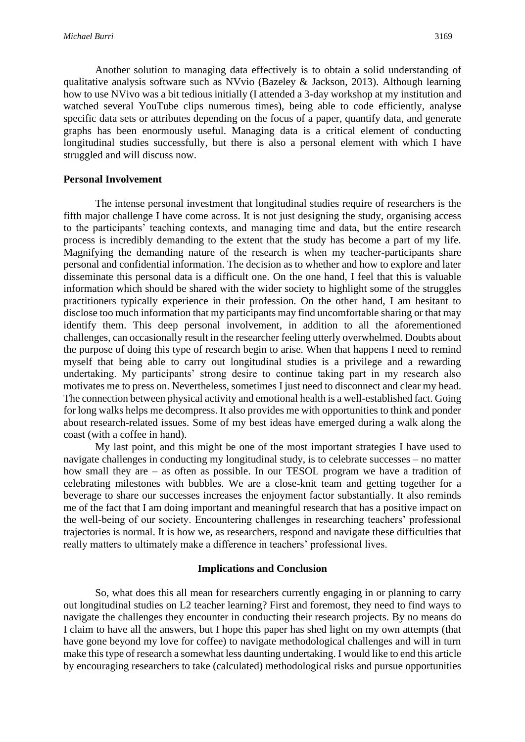Another solution to managing data effectively is to obtain a solid understanding of qualitative analysis software such as NVvio (Bazeley & Jackson, 2013). Although learning how to use NVivo was a bit tedious initially (I attended a 3-day workshop at my institution and watched several YouTube clips numerous times), being able to code efficiently, analyse specific data sets or attributes depending on the focus of a paper, quantify data, and generate graphs has been enormously useful. Managing data is a critical element of conducting longitudinal studies successfully, but there is also a personal element with which I have struggled and will discuss now.

#### **Personal Involvement**

The intense personal investment that longitudinal studies require of researchers is the fifth major challenge I have come across. It is not just designing the study, organising access to the participants' teaching contexts, and managing time and data, but the entire research process is incredibly demanding to the extent that the study has become a part of my life. Magnifying the demanding nature of the research is when my teacher-participants share personal and confidential information. The decision as to whether and how to explore and later disseminate this personal data is a difficult one. On the one hand, I feel that this is valuable information which should be shared with the wider society to highlight some of the struggles practitioners typically experience in their profession. On the other hand, I am hesitant to disclose too much information that my participants may find uncomfortable sharing or that may identify them. This deep personal involvement, in addition to all the aforementioned challenges, can occasionally result in the researcher feeling utterly overwhelmed. Doubts about the purpose of doing this type of research begin to arise. When that happens I need to remind myself that being able to carry out longitudinal studies is a privilege and a rewarding undertaking. My participants' strong desire to continue taking part in my research also motivates me to press on. Nevertheless, sometimes I just need to disconnect and clear my head. The connection between physical activity and emotional health is a well-established fact. Going for long walks helps me decompress. It also provides me with opportunities to think and ponder about research-related issues. Some of my best ideas have emerged during a walk along the coast (with a coffee in hand).

My last point, and this might be one of the most important strategies I have used to navigate challenges in conducting my longitudinal study, is to celebrate successes – no matter how small they are – as often as possible. In our TESOL program we have a tradition of celebrating milestones with bubbles. We are a close-knit team and getting together for a beverage to share our successes increases the enjoyment factor substantially. It also reminds me of the fact that I am doing important and meaningful research that has a positive impact on the well-being of our society. Encountering challenges in researching teachers' professional trajectories is normal. It is how we, as researchers, respond and navigate these difficulties that really matters to ultimately make a difference in teachers' professional lives.

#### **Implications and Conclusion**

So, what does this all mean for researchers currently engaging in or planning to carry out longitudinal studies on L2 teacher learning? First and foremost, they need to find ways to navigate the challenges they encounter in conducting their research projects. By no means do I claim to have all the answers, but I hope this paper has shed light on my own attempts (that have gone beyond my love for coffee) to navigate methodological challenges and will in turn make this type of research a somewhat less daunting undertaking. I would like to end this article by encouraging researchers to take (calculated) methodological risks and pursue opportunities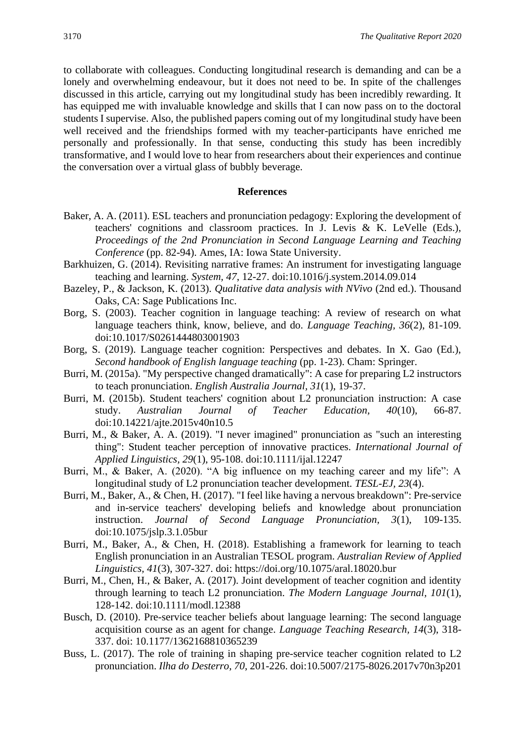to collaborate with colleagues. Conducting longitudinal research is demanding and can be a lonely and overwhelming endeavour, but it does not need to be. In spite of the challenges discussed in this article, carrying out my longitudinal study has been incredibly rewarding. It has equipped me with invaluable knowledge and skills that I can now pass on to the doctoral students I supervise. Also, the published papers coming out of my longitudinal study have been well received and the friendships formed with my teacher-participants have enriched me personally and professionally. In that sense, conducting this study has been incredibly transformative, and I would love to hear from researchers about their experiences and continue the conversation over a virtual glass of bubbly beverage.

# **References**

- Baker, A. A. (2011). ESL teachers and pronunciation pedagogy: Exploring the development of teachers' cognitions and classroom practices. In J. Levis & K. LeVelle (Eds.), *Proceedings of the 2nd Pronunciation in Second Language Learning and Teaching Conference* (pp. 82-94). Ames, IA: Iowa State University.
- Barkhuizen, G. (2014). Revisiting narrative frames: An instrument for investigating language teaching and learning. *System, 47*, 12-27. doi:10.1016/j.system.2014.09.014
- Bazeley, P., & Jackson, K. (2013). *Qualitative data analysis with NVivo* (2nd ed.). Thousand Oaks, CA: Sage Publications Inc.
- Borg, S. (2003). Teacher cognition in language teaching: A review of research on what language teachers think, know, believe, and do. *Language Teaching, 36*(2), 81-109. doi:10.1017/S0261444803001903
- Borg, S. (2019). Language teacher cognition: Perspectives and debates. In X. Gao (Ed.), *Second handbook of English language teaching* (pp. 1-23). Cham: Springer.
- Burri, M. (2015a). "My perspective changed dramatically": A case for preparing L2 instructors to teach pronunciation. *English Australia Journal, 31*(1), 19-37.
- Burri, M. (2015b). Student teachers' cognition about L2 pronunciation instruction: A case study. *Australian Journal of Teacher Education, 40*(10), 66-87. doi:10.14221/ajte.2015v40n10.5
- Burri, M., & Baker, A. A. (2019). "I never imagined" pronunciation as "such an interesting thing": Student teacher perception of innovative practices. *International Journal of Applied Linguistics, 29*(1), 95-108. doi:10.1111/ijal.12247
- Burri, M., & Baker, A. (2020). "A big influence on my teaching career and my life": A longitudinal study of L2 pronunciation teacher development. *TESL-EJ, 23*(4).
- Burri, M., Baker, A., & Chen, H. (2017). "I feel like having a nervous breakdown": Pre-service and in-service teachers' developing beliefs and knowledge about pronunciation instruction. *Journal of Second Language Pronunciation, 3*(1), 109-135. doi:10.1075/jslp.3.1.05bur
- Burri, M., Baker, A., & Chen, H. (2018). Establishing a framework for learning to teach English pronunciation in an Australian TESOL program. *Australian Review of Applied Linguistics, 41*(3), 307-327. doi: https://doi.org/10.1075/aral.18020.bur
- Burri, M., Chen, H., & Baker, A. (2017). Joint development of teacher cognition and identity through learning to teach L2 pronunciation. *The Modern Language Journal, 101*(1), 128-142. doi:10.1111/modl.12388
- Busch, D. (2010). Pre-service teacher beliefs about language learning: The second language acquisition course as an agent for change. *Language Teaching Research, 14*(3), 318- 337. doi: 10.1177/1362168810365239
- Buss, L. (2017). The role of training in shaping pre-service teacher cognition related to L2 pronunciation. *Ilha do Desterro, 70*, 201-226. doi:10.5007/2175-8026.2017v70n3p201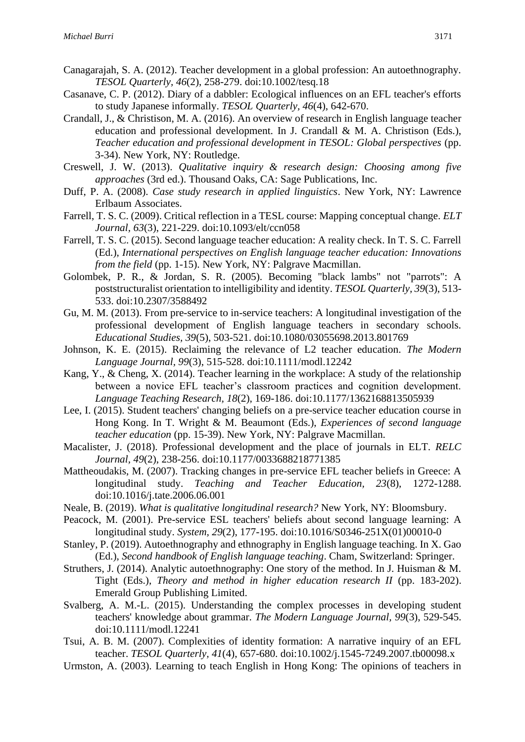- Canagarajah, S. A. (2012). Teacher development in a global profession: An autoethnography. *TESOL Quarterly, 46*(2), 258-279. doi:10.1002/tesq.18
- Casanave, C. P. (2012). Diary of a dabbler: Ecological influences on an EFL teacher's efforts to study Japanese informally. *TESOL Quarterly, 46*(4), 642-670.
- Crandall, J., & Christison, M. A. (2016). An overview of research in English language teacher education and professional development. In J. Crandall & M. A. Christison (Eds.), *Teacher education and professional development in TESOL: Global perspectives* (pp. 3-34). New York, NY: Routledge.
- Creswell, J. W. (2013). *Qualitative inquiry & research design: Choosing among five approaches* (3rd ed.). Thousand Oaks, CA: Sage Publications, Inc.
- Duff, P. A. (2008). *Case study research in applied linguistics*. New York, NY: Lawrence Erlbaum Associates.
- Farrell, T. S. C. (2009). Critical reflection in a TESL course: Mapping conceptual change. *ELT Journal, 63*(3), 221-229. doi:10.1093/elt/ccn058
- Farrell, T. S. C. (2015). Second language teacher education: A reality check. In T. S. C. Farrell (Ed.), *International perspectives on English language teacher education: Innovations from the field* (pp. 1-15). New York, NY: Palgrave Macmillan.
- Golombek, P. R., & Jordan, S. R. (2005). Becoming "black lambs" not "parrots": A poststructuralist orientation to intelligibility and identity. *TESOL Quarterly, 39*(3), 513- 533. doi:10.2307/3588492
- Gu, M. M. (2013). From pre-service to in-service teachers: A longitudinal investigation of the professional development of English language teachers in secondary schools. *Educational Studies, 39*(5), 503-521. doi:10.1080/03055698.2013.801769
- Johnson, K. E. (2015). Reclaiming the relevance of L2 teacher education. *The Modern Language Journal, 99*(3), 515-528. doi:10.1111/modl.12242
- Kang, Y., & Cheng, X. (2014). Teacher learning in the workplace: A study of the relationship between a novice EFL teacher's classroom practices and cognition development. *Language Teaching Research, 18*(2), 169-186. doi:10.1177/1362168813505939
- Lee, I. (2015). Student teachers' changing beliefs on a pre-service teacher education course in Hong Kong. In T. Wright & M. Beaumont (Eds.), *Experiences of second language teacher education* (pp. 15-39). New York, NY: Palgrave Macmillan.
- Macalister, J. (2018). Professional development and the place of journals in ELT. *RELC Journal, 49*(2), 238-256. doi:10.1177/0033688218771385
- Mattheoudakis, M. (2007). Tracking changes in pre-service EFL teacher beliefs in Greece: A longitudinal study. *Teaching and Teacher Education, 23*(8), 1272-1288. doi:10.1016/j.tate.2006.06.001
- Neale, B. (2019). *What is qualitative longitudinal research?* New York, NY: Bloomsbury.
- Peacock, M. (2001). Pre-service ESL teachers' beliefs about second language learning: A longitudinal study. *System, 29*(2), 177-195. doi:10.1016/S0346-251X(01)00010-0
- Stanley, P. (2019). Autoethnography and ethnography in English language teaching. In X. Gao (Ed.), *Second handbook of English language teaching*. Cham, Switzerland: Springer.
- Struthers, J. (2014). Analytic autoethnography: One story of the method. In J. Huisman & M. Tight (Eds.), *Theory and method in higher education research II* (pp. 183-202). Emerald Group Publishing Limited.
- Svalberg, A. M.-L. (2015). Understanding the complex processes in developing student teachers' knowledge about grammar. *The Modern Language Journal, 99*(3), 529-545. doi:10.1111/modl.12241
- Tsui, A. B. M. (2007). Complexities of identity formation: A narrative inquiry of an EFL teacher. *TESOL Quarterly, 41*(4), 657-680. doi:10.1002/j.1545-7249.2007.tb00098.x
- Urmston, A. (2003). Learning to teach English in Hong Kong: The opinions of teachers in